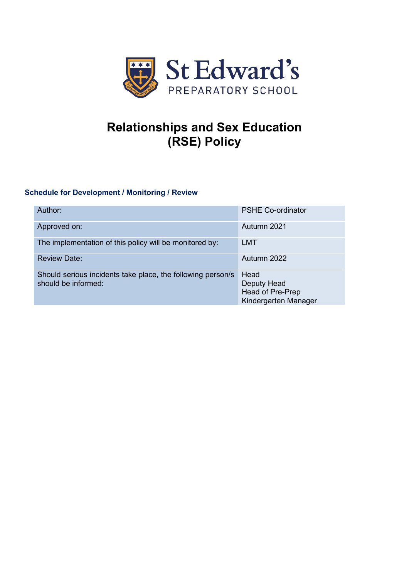

# **Relationships and Sex Education (RSE) Policy**

# **Schedule for Development / Monitoring / Review**

| Author:                                                                            | <b>PSHE Co-ordinator</b>                                        |
|------------------------------------------------------------------------------------|-----------------------------------------------------------------|
| Approved on:                                                                       | Autumn 2021                                                     |
| The implementation of this policy will be monitored by:                            | <b>LMT</b>                                                      |
| <b>Review Date:</b>                                                                | Autumn 2022                                                     |
| Should serious incidents take place, the following person/s<br>should be informed: | Head<br>Deputy Head<br>Head of Pre-Prep<br>Kindergarten Manager |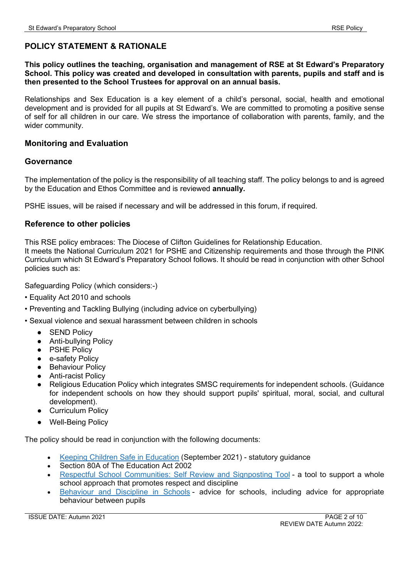### **POLICY STATEMENT & RATIONALE**

**This policy outlines the teaching, organisation and management of RSE at St Edward's Preparatory School. This policy was created and developed in consultation with parents, pupils and staff and is then presented to the School Trustees for approval on an annual basis.** 

Relationships and Sex Education is a key element of a child's personal, social, health and emotional development and is provided for all pupils at St Edward's. We are committed to promoting a positive sense of self for all children in our care. We stress the importance of collaboration with parents, family, and the wider community.

### **Monitoring and Evaluation**

### **Governance**

The implementation of the policy is the responsibility of all teaching staff. The policy belongs to and is agreed by the Education and Ethos Committee and is reviewed **annually.**

PSHE issues, will be raised if necessary and will be addressed in this forum, if required.

### **Reference to other policies**

This RSE policy embraces: The Diocese of Clifton Guidelines for Relationship Education. It meets the National Curriculum 2021 for PSHE and Citizenship requirements and those through the PINK Curriculum which St Edward's Preparatory School follows. It should be read in conjunction with other School policies such as:

Safeguarding Policy (which considers:-)

- Equality Act 2010 and schools
- Preventing and Tackling Bullying (including advice on cyberbullying)
- Sexual violence and sexual harassment between children in schools
	- **SEND Policy**
	- Anti-bullying Policy
	- PSHE Policy
	- e-safety Policy
	- Behaviour Policy
	- Anti-racist Policy
	- Religious Education Policy which integrates SMSC requirements for independent schools. (Guidance for independent schools on how they should support pupils' spiritual, moral, social, and cultural development).
	- Curriculum Policy
	- Well-Being Policy

The policy should be read in conjunction with the following documents:

- Keeping Children Safe in [Education](https://www.gov.uk/government/publications/keeping-children-safe-in-education--2) (September 2021) statutory guidance
- Section 80A of The Education Act 2002
- Respectful School [Communities:](https://educateagainsthate.com/school-leaders/?filter=guidance-and-training-school-leaders) Self Review and Signposting Tool a tool to support a whole school approach that promotes respect and discipline
- [Behaviour](https://www.gov.uk/government/publications/behaviour-and-discipline-in-schools) and Discipline in Schools advice for schools, including advice for appropriate behaviour between pupils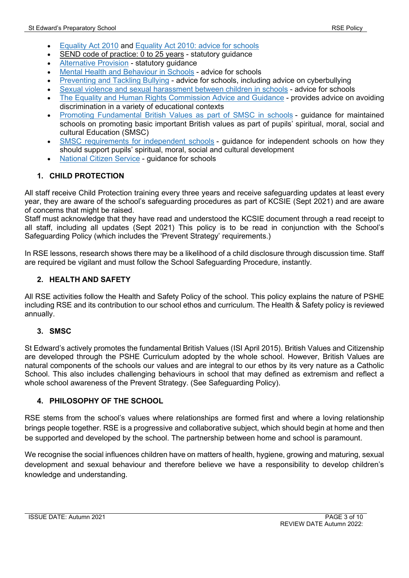- [Equality](https://www.gov.uk/guidance/equality-act-2010-guidance) Act 2010 and [Equality](https://www.gov.uk/government/publications/equality-act-2010-advice-for-schools) Act 2010: advice for schools
- SEND code of [practice:](https://www.gov.uk/government/publications/send-code-of-practice-0-to-25) 0 to 25 years statutory guidance
- [Alternative](https://www.gov.uk/government/publications/alternative-provision) Provision statutory guidance
- Mental Health and [Behaviour](https://www.gov.uk/government/publications/mental-health-and-behaviour-in-schools--2) in Schools advice for schools
- [Preventing](https://www.gov.uk/government/publications/preventing-and-tackling-bullying) and Tackling Bullying advice for schools, including advice on cyberbullying
- Sexual violence and sexual [harassment](https://www.gov.uk/government/publications/sexual-violence-and-sexual-harassment-between-children-in-schools-and-colleges) between children in schools advice for schools
- The Equality and Human Rights [Commission](https://www.equalityhumanrights.com/en/advice-and-guidance/) Advice and Guidance provides advice on avoiding discrimination in a variety of educational contexts
- Promoting [Fundamental](https://www.gov.uk/government/publications/promoting-fundamental-british-values-through-smsc) British Values as part of SMSC in schools guidance for maintained schools on promoting basic important British values as part of pupils' spiritual, moral, social and cultural Education (SMSC)
- SMSC [requirements](https://www.gov.uk/government/publications/improving-the-smsc-development-of-pupils-in-independent-schools) for independent schools quidance for independent schools on how they should support pupils' spiritual, moral, social and cultural development
- [National](https://www.gov.uk/government/publications/national-citizen-service-guidance-for-schools-and-colleges) Citizen Service guidance for schools

### **1. CHILD PROTECTION**

All staff receive Child Protection training every three years and receive safeguarding updates at least every year, they are aware of the school's safeguarding procedures as part of KCSIE (Sept 2021) and are aware of concerns that might be raised.

Staff must acknowledge that they have read and understood the KCSIE document through a read receipt to all staff, including all updates (Sept 2021) This policy is to be read in conjunction with the School's Safeguarding Policy (which includes the 'Prevent Strategy' requirements.)

In RSE lessons, research shows there may be a likelihood of a child disclosure through discussion time. Staff are required be vigilant and must follow the School Safeguarding Procedure, instantly.

### **2. HEALTH AND SAFETY**

All RSE activities follow the Health and Safety Policy of the school. This policy explains the nature of PSHE including RSE and its contribution to our school ethos and curriculum. The Health & Safety policy is reviewed annually.

### **3. SMSC**

St Edward's actively promotes the fundamental British Values (ISI April 2015). British Values and Citizenship are developed through the PSHE Curriculum adopted by the whole school. However, British Values are natural components of the schools our values and are integral to our ethos by its very nature as a Catholic School. This also includes challenging behaviours in school that may defined as extremism and reflect a whole school awareness of the Prevent Strategy. (See Safeguarding Policy).

### **4. PHILOSOPHY OF THE SCHOOL**

RSE stems from the school's values where relationships are formed first and where a loving relationship brings people together. RSE is a progressive and collaborative subject, which should begin at home and then be supported and developed by the school. The partnership between home and school is paramount.

We recognise the social influences children have on matters of health, hygiene, growing and maturing, sexual development and sexual behaviour and therefore believe we have a responsibility to develop children's knowledge and understanding.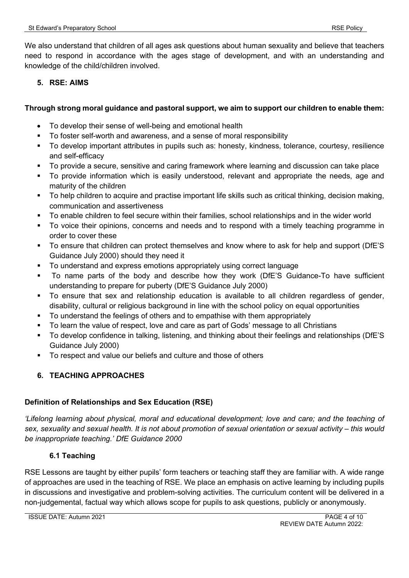We also understand that children of all ages ask questions about human sexuality and believe that teachers need to respond in accordance with the ages stage of development, and with an understanding and knowledge of the child/children involved.

### **5. RSE: AIMS**

### **Through strong moral guidance and pastoral support, we aim to support our children to enable them:**

- To develop their sense of well-being and emotional health
- To foster self-worth and awareness, and a sense of moral responsibility
- To develop important attributes in pupils such as: honesty, kindness, tolerance, courtesy, resilience and self-efficacy
- To provide a secure, sensitive and caring framework where learning and discussion can take place
- To provide information which is easily understood, relevant and appropriate the needs, age and maturity of the children
- To help children to acquire and practise important life skills such as critical thinking, decision making, communication and assertiveness
- To enable children to feel secure within their families, school relationships and in the wider world
- To voice their opinions, concerns and needs and to respond with a timely teaching programme in order to cover these
- To ensure that children can protect themselves and know where to ask for help and support (DfE'S Guidance July 2000) should they need it
- To understand and express emotions appropriately using correct language
- To name parts of the body and describe how they work (DfE'S Guidance-To have sufficient understanding to prepare for puberty (DfE'S Guidance July 2000)
- To ensure that sex and relationship education is available to all children regardless of gender, disability, cultural or religious background in line with the school policy on equal opportunities
- To understand the feelings of others and to empathise with them appropriately
- To learn the value of respect, love and care as part of Gods' message to all Christians
- To develop confidence in talking, listening, and thinking about their feelings and relationships (DfE'S Guidance July 2000)
- To respect and value our beliefs and culture and those of others

### **6. TEACHING APPROACHES**

### **Definition of Relationships and Sex Education (RSE)**

*'Lifelong learning about physical, moral and educational development; love and care; and the teaching of sex, sexuality and sexual health. It is not about promotion of sexual orientation or sexual activity – this would*  be inappropriate teaching.' DfE Guidance 2000

### **6.1 Teaching**

RSE Lessons are taught by either pupils' form teachers or teaching staff they are familiar with. A wide range of approaches are used in the teaching of RSE. We place an emphasis on active learning by including pupils in discussions and investigative and problem-solving activities. The curriculum content will be delivered in a non-judgemental, factual way which allows scope for pupils to ask questions, publicly or anonymously.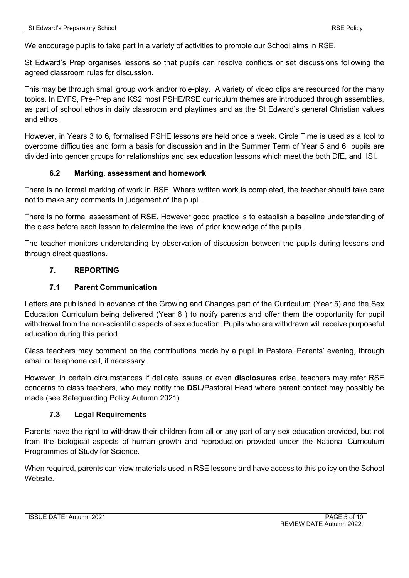We encourage pupils to take part in a variety of activities to promote our School aims in RSE.

St Edward's Prep organises lessons so that pupils can resolve conflicts or set discussions following the agreed classroom rules for discussion.

This may be through small group work and/or role-play. A variety of video clips are resourced for the many topics. In EYFS, Pre-Prep and KS2 most PSHE/RSE curriculum themes are introduced through assemblies, as part of school ethos in daily classroom and playtimes and as the St Edward's general Christian values and ethos.

However, in Years 3 to 6, formalised PSHE lessons are held once a week. Circle Time is used as a tool to overcome difficulties and form a basis for discussion and in the Summer Term of Year 5 and 6 pupils are divided into gender groups for relationships and sex education lessons which meet the both DfE, and ISI.

### **6.2 Marking, assessment and homework**

There is no formal marking of work in RSE. Where written work is completed, the teacher should take care not to make any comments in judgement of the pupil.

There is no formal assessment of RSE. However good practice is to establish a baseline understanding of the class before each lesson to determine the level of prior knowledge of the pupils.

The teacher monitors understanding by observation of discussion between the pupils during lessons and through direct questions.

### **7. REPORTING**

#### **7.1 Parent Communication**

Letters are published in advance of the Growing and Changes part of the Curriculum (Year 5) and the Sex Education Curriculum being delivered (Year 6 ) to notify parents and offer them the opportunity for pupil withdrawal from the non-scientific aspects of sex education. Pupils who are withdrawn will receive purposeful education during this period.

Class teachers may comment on the contributions made by a pupil in Pastoral Parents' evening, through email or telephone call, if necessary.

However, in certain circumstances if delicate issues or even **disclosures** arise, teachers may refer RSE concerns to class teachers, who may notify the **DSL/**Pastoral Head where parent contact may possibly be made (see Safeguarding Policy Autumn 2021)

#### **7.3 Legal Requirements**

Parents have the right to withdraw their children from all or any part of any sex education provided, but not from the biological aspects of human growth and reproduction provided under the National Curriculum Programmes of Study for Science.

When required, parents can view materials used in RSE lessons and have access to this policy on the School Website.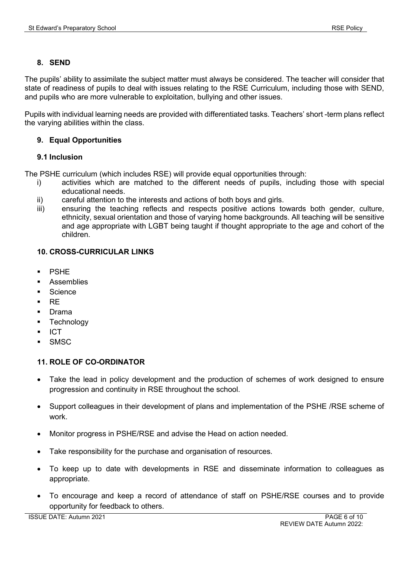### **8. SEND**

The pupils' ability to assimilate the subject matter must always be considered. The teacher will consider that state of readiness of pupils to deal with issues relating to the RSE Curriculum, including those with SEND, and pupils who are more vulnerable to exploitation, bullying and other issues.

Pupils with individual learning needs are provided with differentiated tasks. Teachers' short -term plans reflect the varying abilities within the class.

### **9. Equal Opportunities**

### **9.1 Inclusion**

The PSHE curriculum (which includes RSE) will provide equal opportunities through:

- i) activities which are matched to the different needs of pupils, including those with special educational needs.
- ii) careful attention to the interests and actions of both boys and girls.
- iii) ensuring the teaching reflects and respects positive actions towards both gender, culture, ethnicity, sexual orientation and those of varying home backgrounds. All teaching will be sensitive and age appropriate with LGBT being taught if thought appropriate to the age and cohort of the children.

### **10. CROSS-CURRICULAR LINKS**

- PSHE
- **Assemblies**
- Science
- $R$ F
- **Drama**
- **Technology**
- ICT
- **SMSC**

### **11. ROLE OF CO-ORDINATOR**

- Take the lead in policy development and the production of schemes of work designed to ensure progression and continuity in RSE throughout the school.
- Support colleagues in their development of plans and implementation of the PSHE /RSE scheme of work.
- Monitor progress in PSHE/RSE and advise the Head on action needed.
- Take responsibility for the purchase and organisation of resources.
- To keep up to date with developments in RSE and disseminate information to colleagues as appropriate.
- To encourage and keep a record of attendance of staff on PSHE/RSE courses and to provide opportunity for feedback to others.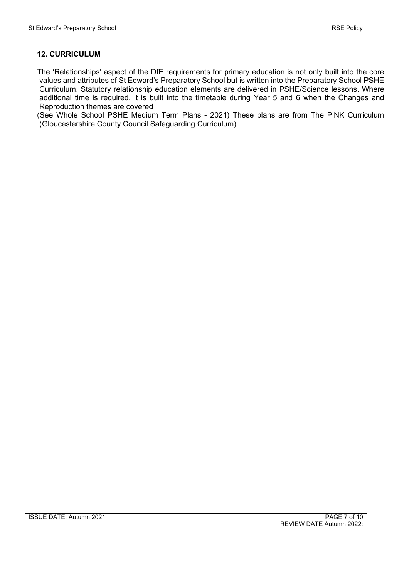### **12. CURRICULUM**

The 'Relationships' aspect of the DfE requirements for primary education is not only built into the core values and attributes of St Edward's Preparatory School but is written into the Preparatory School PSHE Curriculum. Statutory relationship education elements are delivered in PSHE/Science lessons. Where additional time is required, it is built into the timetable during Year 5 and 6 when the Changes and Reproduction themes are covered

(See Whole School PSHE Medium Term Plans - 2021) These plans are from The PiNK Curriculum (Gloucestershire County Council Safeguarding Curriculum)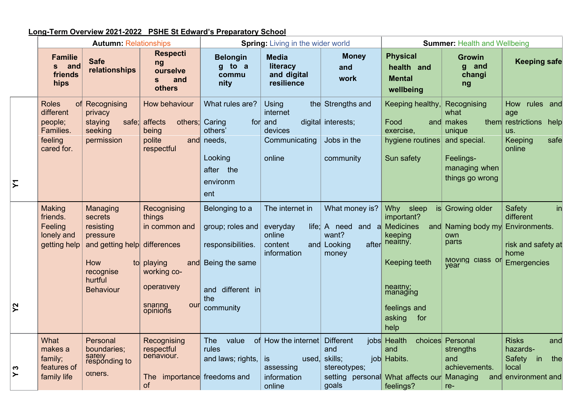# **Long-Term Overview 2021-2022 PSHE St Edward's Preparatory School**

|   | <b>Autumn: Relationships</b>                                               |                                                                                                                                 |                                                                                                                           |                                                                                                                   | <b>Spring: Living in the wider world</b>                                 | <b>Summer: Health and Wellbeing</b>                                                |                                                                                                                                                                       |                                                                                             |                                                                                                           |
|---|----------------------------------------------------------------------------|---------------------------------------------------------------------------------------------------------------------------------|---------------------------------------------------------------------------------------------------------------------------|-------------------------------------------------------------------------------------------------------------------|--------------------------------------------------------------------------|------------------------------------------------------------------------------------|-----------------------------------------------------------------------------------------------------------------------------------------------------------------------|---------------------------------------------------------------------------------------------|-----------------------------------------------------------------------------------------------------------|
|   | <b>Familie</b><br>and<br>S<br>friends<br>hips                              | <b>Safe</b><br>relationships                                                                                                    | <b>Respecti</b><br>ng<br>ourselve<br>and<br>S<br>others                                                                   | <b>Belongin</b><br>g to a<br>commu<br>nity                                                                        | <b>Media</b><br>literacy<br>and digital<br>resilience                    | <b>Money</b><br>and<br>work                                                        | <b>Physical</b><br>health and<br><b>Mental</b><br>wellbeing                                                                                                           | <b>Growin</b><br>g and<br>changi<br>ng                                                      | <b>Keeping safe</b>                                                                                       |
|   | <b>Roles</b><br>different<br>people;<br>Families.<br>feeling<br>cared for. | of Recognising<br>privacy<br>staying<br>safe;<br>seeking<br>permission                                                          | How behaviour<br>others; Caring<br>affects<br>being<br>polite<br>respectful                                               | What rules are?<br>others'<br>and needs,<br>Looking<br>after<br>the<br>environm<br>ent                            | Using<br>internet<br>for and<br>devices<br>Communicating<br>online       | the Strengths and<br>digital interests;<br>Jobs in the<br>community                | Keeping healthy,<br>Food<br>exercise,<br>hygiene routines and special.<br>Sun safety                                                                                  | Recognising<br>what<br>and makes<br>unique<br>Feelings-<br>managing when<br>things go wrong | How rules and<br>age<br>them restrictions<br>help<br>US.<br><b>Keeping</b><br>safe<br>online              |
| Ջ | Making<br>friends.<br>Feeling<br>lonely and<br>getting help                | Managing<br>secrets<br>resisting<br>pressure<br>and getting help differences<br>How<br>recognise<br>hurtful<br><b>Behaviour</b> | Recognising<br>things<br>in common and<br>to playing<br> and <br>working co-<br>operatively<br>snaring<br>our<br>opinions | Belonging to a<br>group; roles and<br>responsibilities.<br>Being the same<br>and different in<br>the<br>community | The internet in<br>everyday<br>online<br>content<br>information          | What money is?<br>$l$ life; A need and a<br>want?<br>and Looking<br>after<br>money | <b>Why</b><br>sleep<br>important?<br><b>Medicines</b><br>and<br>keeping<br>nealthy.<br>Keeping teeth<br>healthy;<br>managing<br>feelings and<br>asking<br>for<br>help | is Growing older<br>Naming body my<br>own<br>parts<br>Moving class or<br>vear               | Safety<br>$\mathsf{in}$<br>different<br>Environments.<br>risk and safety at<br>home<br><b>Emergencies</b> |
|   | What<br>makes a<br>family;<br>features of<br>family life                   | Personal<br>boundaries;<br>sately<br>responding to<br>others.                                                                   | Recognising<br>respectful<br>behaviour.<br>The<br>of                                                                      | <b>The</b><br>value<br>rules<br>and laws; rights,<br>importance freedoms and                                      | of How the internet<br>is<br>used,<br>assessing<br>information<br>online | <b>Different</b><br>and<br>skills;<br>stereotypes;<br>goals                        | jobs Health<br>and<br>job Habits.<br>setting personal What affects our<br>feelings?                                                                                   | choices Personal<br>strengths<br>and<br>achievements.<br>Managing<br>and<br>re-             | <b>Risks</b><br>and<br>hazards-<br>Safety<br>the<br>in<br>local<br>environment and                        |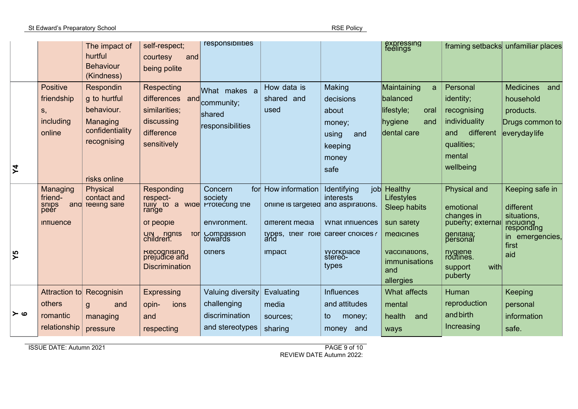St Edward's Preparatory School and the state of the state of the state of the state of the RSE Policy

|         |                                                                   | The impact of<br>hurtful<br><b>Behaviour</b><br>(Kindness)                                            | self-respect;<br>courtesy<br>and<br>being polite                                                                                                                                 | responsibilities                                                             |                                                                                                |                                                                                                                                   | expressing<br>feelings                                                                                                            |                                                                                                                                                     | framing setbacks unfamiliar places                                                                               |
|---------|-------------------------------------------------------------------|-------------------------------------------------------------------------------------------------------|----------------------------------------------------------------------------------------------------------------------------------------------------------------------------------|------------------------------------------------------------------------------|------------------------------------------------------------------------------------------------|-----------------------------------------------------------------------------------------------------------------------------------|-----------------------------------------------------------------------------------------------------------------------------------|-----------------------------------------------------------------------------------------------------------------------------------------------------|------------------------------------------------------------------------------------------------------------------|
| $\zeta$ | <b>Positive</b><br>friendship<br>S,<br><i>including</i><br>online | Respondin<br>g to hurtful<br>behaviour.<br>Managing<br>confidentiality<br>recognising<br>risks online | Respecting<br>differences and<br>similarities;<br>discussing<br>difference<br>sensitively                                                                                        | What makes a<br>community;<br>shared<br>responsibilities                     | How data is<br>shared and<br>used                                                              | Making<br>decisions<br>about<br>money;<br>using<br>and<br>keeping<br>money<br>safe                                                | Maintaining<br>a<br>balanced<br>lifestyle;<br>oral<br>hygiene<br>and<br>dental care                                               | Personal<br>identity;<br>recognising<br>individuality<br>different<br>and<br>qualities;<br>mental<br>wellbeing                                      | <b>Medicines</b><br>and<br>household<br>products.<br>Drugs common to<br>everyday life                            |
| ΣΛ      | Managing<br>friend-<br>snips<br>peer<br><b>Influence</b>          | Physical<br>contact and<br>and reeling sare                                                           | Responding<br>respect-<br>TUIIY TO a WIDE Protecting the<br>range<br>ot people<br>UN rights<br>children.<br><b>TOrl</b><br>Recognising<br>prejudice and<br><b>Discrimination</b> | Concern<br>society<br>environment.<br>Compassion<br>towards<br>others        | for How information<br>online is targeted and aspirations.<br>different media<br><b>IMPACT</b> | Identifying<br><i>interests</i><br><b>VVhat influences</b><br>types, their role career choices?<br>vyorkplace<br>stereo-<br>types | job Healthy<br>Lifestyles<br><b>Sleep habits</b><br>sun satety<br>medicines<br>vaccinations,<br>immunisations<br>and<br>allergies | <b>Physical and</b><br>emotional<br>changes in<br>puberty; external<br>genitalia;<br>personal<br>nyquene<br>routines.<br>with<br>support<br>puberty | Keeping safe in<br>different<br>situations,<br><b>Including</b><br>responding<br>in emergencies,<br>first<br>aid |
| ہ ≺     | Attraction to<br>others<br>romantic<br>relationship               | Recognisin<br>and<br>g<br>managing<br>pressure                                                        | Expressing<br>opin-<br>ions<br>and<br>respecting                                                                                                                                 | <b>Valuing diversity</b><br>challenging<br>discrimination<br>and stereotypes | Evaluating<br>media<br>sources;<br>sharing                                                     | <b>Influences</b><br>and attitudes<br>money;<br>to<br>and<br>money                                                                | What affects<br>mental<br>health<br>and<br>ways                                                                                   | Human<br>reproduction<br>and birth<br>Increasing                                                                                                    | Keeping<br>personal<br>information<br>safe.                                                                      |